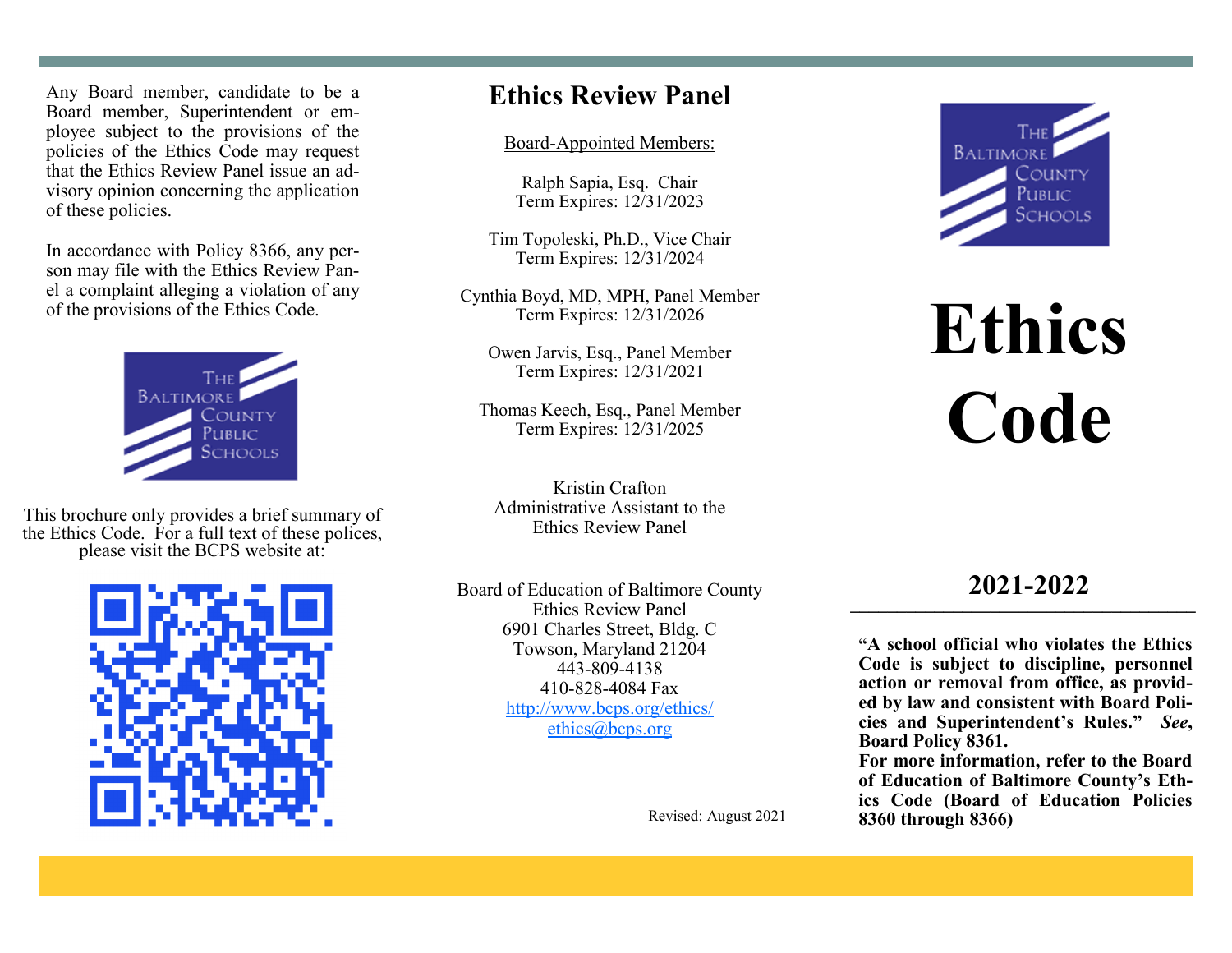Any Board member, candidate to be a Board member, Superintendent or employee subject to the provisions of the policies of the Ethics Code may request that the Ethics Review Panel issue an advisory opinion concerning the application of these policies.

In accordance with Policy 8366, any person may file with the Ethics Review Panel a complaint alleging a violation of any of the provisions of the Ethics Code.



This brochure only provides a brief summary of the Ethics Code. For a full text of these polices, please visit the BCPS website at:



## **Ethics Review Panel**

#### Board-Appointed Members:

Ralph Sapia, Esq. Chair Term Expires: 12/31/2023

Tim Topoleski, Ph.D., Vice Chair Term Expires: 12/31/2024

Cynthia Boyd, MD, MPH, Panel Member Term Expires: 12/31/2026

Owen Jarvis, Esq., Panel Member Term Expires: 12/31/2021

Thomas Keech, Esq., Panel Member Term Expires: 12/31/2025

Kristin Crafton Administrative Assistant to the Ethics Review Panel

Board of Education of Baltimore County Ethics Review Panel 6901 Charles Street, Bldg. C Towson, Maryland 21204 443-809-4138 410-828-4084 Fax http://www.bcps.org/ethics/ ethics@bcps.org

Revised: August 2021



# **Ethics Code**

### **2021-2022 \_\_\_\_\_\_\_\_\_\_\_\_\_\_\_\_\_\_\_\_\_\_\_\_\_\_\_\_\_\_\_\_\_\_\_\_\_**

**"A school official who violates the Ethics Code is subject to discipline, personnel action or removal from office, as provided by law and consistent with Board Policies and Superintendent's Rules."** *See***, Board Policy 8361.**

**For more information, refer to the Board of Education of Baltimore County's Ethics Code (Board of Education Policies 8360 through 8366)**